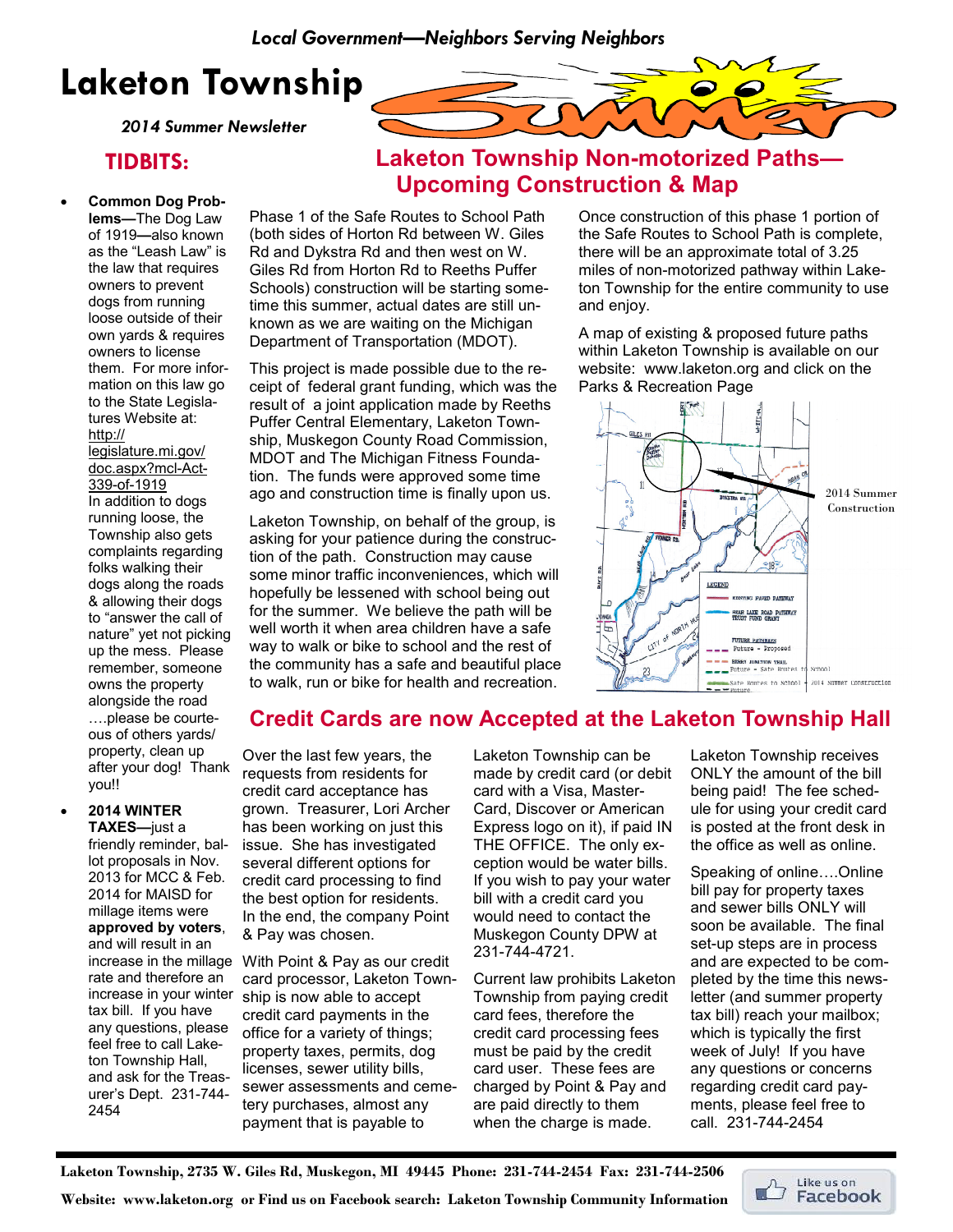# Laketon Township

2014 Summer Newsletter

## TIDBITS:

### • Common Dog Prob-

lems—The Dog Law of 1919—also known as the "Leash Law" is the law that requires owners to prevent dogs from running loose outside of their own yards & requires owners to license them. For more information on this law go to the State Legislatures Website at: http:// legislature.mi.gov/ doc.aspx?mcl-Act-339-of-1919 In addition to dogs running loose, the Township also gets complaints regarding folks walking their dogs along the roads & allowing their dogs to "answer the call of nature" yet not picking up the mess. Please remember, someone owns the property alongside the road ....please be courteous of others yards/ property, clean up after your dog! Thank you!!



Phase 1 of the Safe Routes to School Path (both sides of Horton Rd between W. Giles Rd and Dykstra Rd and then west on W. Giles Rd from Horton Rd to Reeths Puffer Schools) construction will be starting sometime this summer, actual dates are still unknown as we are waiting on the Michigan Department of Transportation (MDOT).

This project is made possible due to the receipt of federal grant funding, which was the result of a joint application made by Reeths Puffer Central Elementary, Laketon Township, Muskegon County Road Commission, MDOT and The Michigan Fitness Foundation. The funds were approved some time ago and construction time is finally upon us.

Laketon Township, on behalf of the group, is asking for your patience during the construction of the path. Construction may cause some minor traffic inconveniences, which will hopefully be lessened with school being out for the summer. We believe the path will be well worth it when area children have a safe way to walk or bike to school and the rest of the community has a safe and beautiful place to walk, run or bike for health and recreation.

Once construction of this phase 1 portion of the Safe Routes to School Path is complete, there will be an approximate total of 3.25 miles of non-motorized pathway within Laketon Township for the entire community to use and enjoy.

Laketon Township Non-motorized Paths—

Upcoming Construction & Map

A map of existing & proposed future paths within Laketon Township is available on our website: www.laketon.org and click on the Parks & Recreation Page



## Credit Cards are now Accepted at the Laketon Township Hall

### Over the last few years, the requests from residents for credit card acceptance has grown. Treasurer, Lori Archer has been working on just this issue. She has investigated several different options for credit card processing to find the best option for residents. In the end, the company Point & Pay was chosen.

increase in the millage With Point & Pay as our credit card processor, Laketon Township is now able to accept credit card payments in the office for a variety of things; property taxes, permits, dog licenses, sewer utility bills, sewer assessments and cemetery purchases, almost any payment that is payable to

Laketon Township can be made by credit card (or debit card with a Visa, Master-Card, Discover or American Express logo on it), if paid IN THE OFFICE. The only exception would be water bills. If you wish to pay your water bill with a credit card you would need to contact the Muskegon County DPW at 231-744-4721.

Current law prohibits Laketon Township from paying credit card fees, therefore the credit card processing fees must be paid by the credit card user. These fees are charged by Point & Pay and are paid directly to them when the charge is made.

Laketon Township receives ONLY the amount of the bill being paid! The fee schedule for using your credit card is posted at the front desk in the office as well as online.

Speaking of online....Online bill pay for property taxes and sewer bills ONLY will soon be available. The final set-up steps are in process and are expected to be completed by the time this newsletter (and summer property tax bill) reach your mailbox; which is typically the first week of July! If you have any questions or concerns regarding credit card payments, please feel free to call. 231-744-2454

Laketon Township, 2735 W. Giles Rd, Muskegon, MI 49445 Phone: 231-744-2454 Fax: 231-744-2506

Website: www.laketon.org or Find us on Facebook search: Laketon Township Community Information